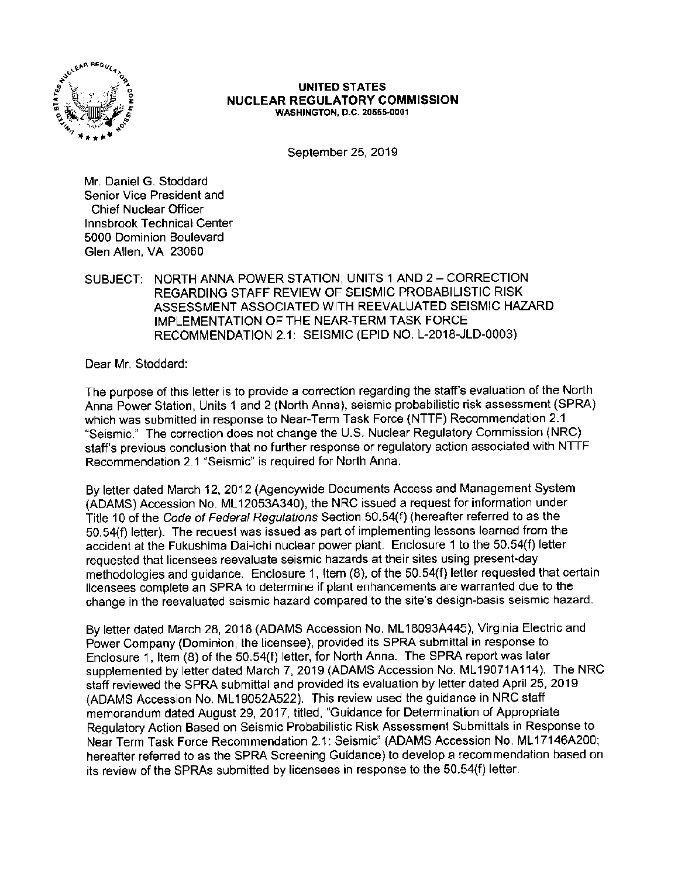

#### **UNITED ST ATES NUCLEAR REGULATORY COMMISSION**  WASHINGTON, D.C. 20555-0001

September 25, 2019

Mr. Daniel G. Stoddard Senior Vice President and Chief Nuclear Officer Innsbrook Technical Center 5000 Dominion Boulevard Glen Allen, VA 23060

SUBJECT: NORTH ANNA POWER STATION, UNITS 1 AND 2 - CORRECTION REGARDING STAFF REVIEW OF SEISMIC PROBABILISTIC RISK ASSESSMENT ASSOCIATED WITH REEVALUATED SEISMIC HAZARD IMPLEMENTATION OF THE NEAR-TERM TASK FORCE RECOMMENDATION 2.1: SEISMIC (EPID NO. L-2018-JLD-0003)

Dear Mr. Stoddard:

The purpose of this letter is to provide a correction regarding the staff's evaluation of the North Anna Power Station, Units 1 and 2 (North Anna), seismic probabilistic risk assessment (SPRA) which was submitted in response to Near-Term Task Force (NTTF) Recommendation 2.1 "Seismic." The correction does not change the U.S. Nuclear Regulatory Commission (NRC) staff's previous conclusion that no further response or regulatory action associated with NTTF Recommendation 2.1 "Seismic" is required for North Anna.

By letter dated March 12, 2012 (Agencywide Documents Access and Management System (ADAMS) Accession No. ML 12053A340}, the NRC issued a request for information under Title 10 of the Code of Federal Regulations Section 50.54(f) (hereafter referred to as the 50.54(f) letter}. The request was issued as part of implementing lessons learned from the accident at the Fukushima Dai-ichi nuclear power plant. Enclosure 1 to the 50.54(f) letter requested that licensees reevaluate seismic hazards at their sites using present-day methodologies and guidance. Enclosure 1, Item (8), of the 50.54(f) letter requested that certain licensees complete an SPRA to determine if plant enhancements are warranted due to the change in the reevaluated seismic hazard compared to the site's design-basis seismic hazard.

By letter dated March 28, 2018 (ADAMS Accession No. ML 18093A445), Virginia Electric and Power Company (Dominion, the licensee), provided its SPRA submittal in response to Enclosure 1, Item (8) of the 50.54(f) letter, for North Anna. The SPRA report was later supplemented by letter dated March 7, 2019 (ADAMS Accession No. ML 19071A114). The NRC staff reviewed the SPRA submittal and provided its evaluation by letter dated April 25, 2019 (ADAMS Accession No. ML 19052A522). This review used the guidance in NRC staff memorandum dated August 29, 2017, titled, "Guidance for Determination of Appropriate Regulatory Action Based on Seismic Probabilistic Risk Assessment Submittals in Response to Near Term Task Force Recommendation 2.1: Seismic" (ADAMS Accession No. ML 17146A200; hereafter referred to as the SPRA Screening Guidance) to develop a recommendation based on its review of the SPRAs submitted by licensees in response to the 50.54(f) letter.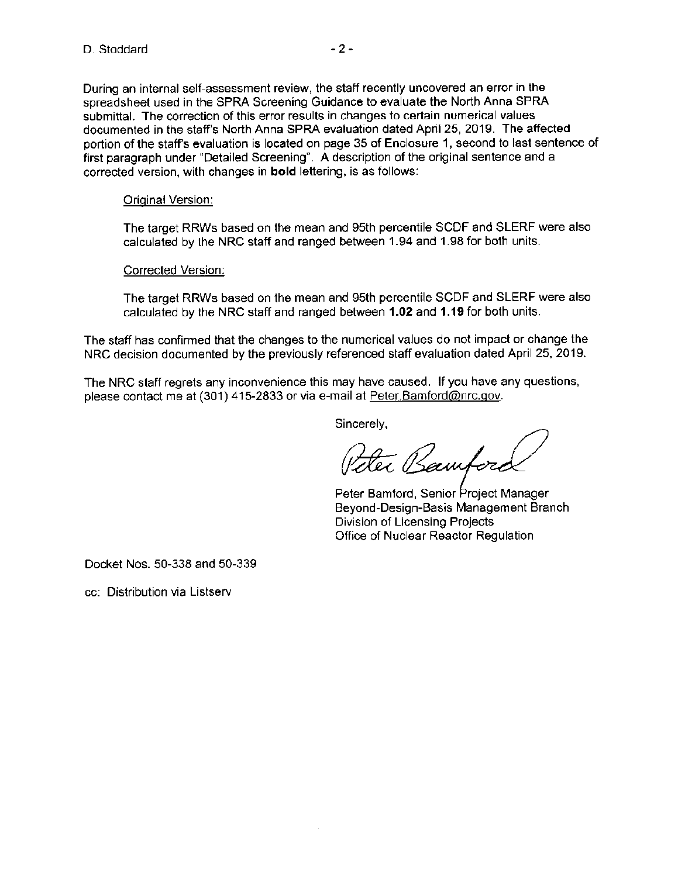During an internal self-assessment review, the staff recently uncovered an error in the spreadsheet used in the SPRA Screening Guidance to evaluate the North Anna SPRA submittal. The correction of this error results in changes to certain numerical values documented in the staff's North Anna SPRA evaluation dated April 25, 2019. The affected portion of the staffs evaluation is located on page 35 of Enclosure 1, second to last sentence of first paragraph under "Detailed Screening". A description of the original sentence and a corrected version, with changes in **bold** lettering, is as follows:

# **Original Version:**

The target RRWs based on the mean and 95th percentile SCDF and SLERF were also calculated by the NRC staff and ranged between 1.94 and 1.98 for both units.

### Corrected Version:

The target RRWs based on the mean and 95th percentile SCDF and SLERF were also calculated by the NRC staff and ranged between **1.02** and **1.19** for both units.

The staff has confirmed that the changes to the numerical values do not impact or change the NRC decision documented by the previously referenced staff evaluation dated April 25, 2019.

The NRC staff regrets any inconvenience this may have caused. If you have any questions, please contact me at (301) 415-2833 or via e-mail at Peter Bamford@nrc.gov.

Sincerely,

Peter Bamfore

Peter Bamford, Senior Project Manager Beyond-Design-Basis Management Branch Division of Licensing Projects Office of Nuclear Reactor Regulation

Docket Nos. 50-338 and 50-339

cc: Distribution via Listserv